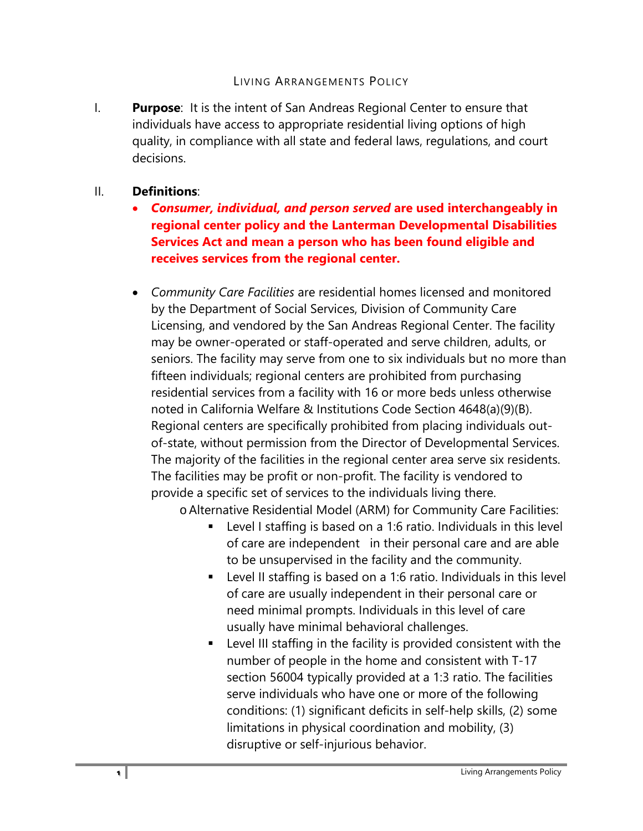## LIVING ARRANGEMENTS POLICY

I. **Purpose**: It is the intent of San Andreas Regional Center to ensure that individuals have access to appropriate residential living options of high quality, in compliance with all state and federal laws, regulations, and court decisions.

## II. **Definitions**:

- *Consumer, individual, and person served* **are used interchangeably in regional center policy and the Lanterman Developmental Disabilities Services Act and mean a person who has been found eligible and receives services from the regional center.**
- *Community Care Facilities* are residential homes licensed and monitored by the Department of Social Services, Division of Community Care Licensing, and vendored by the San Andreas Regional Center. The facility may be owner-operated or staff-operated and serve children, adults, or seniors. The facility may serve from one to six individuals but no more than fifteen individuals; regional centers are prohibited from purchasing residential services from a facility with 16 or more beds unless otherwise noted in California Welfare & Institutions Code Section 4648(a)(9)(B). Regional centers are specifically prohibited from placing individuals outof-state, without permission from the Director of Developmental Services. The majority of the facilities in the regional center area serve six residents. The facilities may be profit or non-profit. The facility is vendored to provide a specific set of services to the individuals living there.

oAlternative Residential Model (ARM) for Community Care Facilities:

- Level I staffing is based on a 1:6 ratio. Individuals in this level of care are independent in their personal care and are able to be unsupervised in the facility and the community.
- Level II staffing is based on a 1:6 ratio. Individuals in this level of care are usually independent in their personal care or need minimal prompts. Individuals in this level of care usually have minimal behavioral challenges.
- Level III staffing in the facility is provided consistent with the number of people in the home and consistent with T-17 section 56004 typically provided at a 1:3 ratio. The facilities serve individuals who have one or more of the following conditions: (1) significant deficits in self-help skills, (2) some limitations in physical coordination and mobility, (3) disruptive or self-injurious behavior.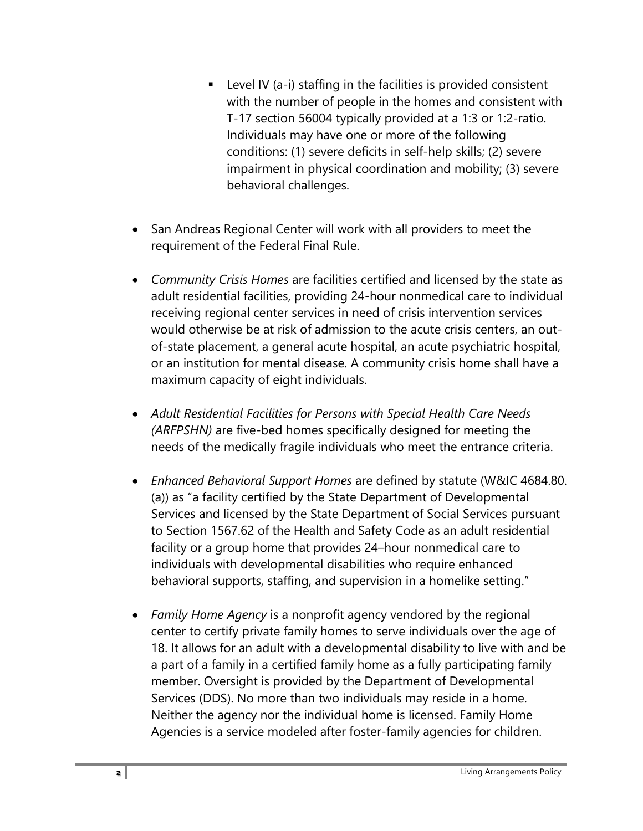- $\blacksquare$  Level IV (a-i) staffing in the facilities is provided consistent with the number of people in the homes and consistent with T-17 section 56004 typically provided at a 1:3 or 1:2-ratio. Individuals may have one or more of the following conditions: (1) severe deficits in self-help skills; (2) severe impairment in physical coordination and mobility; (3) severe behavioral challenges.
- San Andreas Regional Center will work with all providers to meet the requirement of the Federal Final Rule.
- *Community Crisis Homes* are facilities certified and licensed by the state as adult residential facilities, providing 24-hour nonmedical care to individual receiving regional center services in need of crisis intervention services would otherwise be at risk of admission to the acute crisis centers, an outof-state placement, a general acute hospital, an acute psychiatric hospital, or an institution for mental disease. A community crisis home shall have a maximum capacity of eight individuals.
- *Adult Residential Facilities for Persons with Special Health Care Needs (ARFPSHN)* are five-bed homes specifically designed for meeting the needs of the medically fragile individuals who meet the entrance criteria.
- *Enhanced Behavioral Support Homes* are defined by statute (W&IC 4684.80. (a)) as "a facility certified by the State Department of Developmental Services and licensed by the State Department of Social Services pursuant to Section 1567.62 of the Health and Safety Code as an adult residential facility or a group home that provides 24–hour nonmedical care to individuals with developmental disabilities who require enhanced behavioral supports, staffing, and supervision in a homelike setting."
- *Family Home Agency* is a nonprofit agency vendored by the regional center to certify private family homes to serve individuals over the age of 18. It allows for an adult with a developmental disability to live with and be a part of a family in a certified family home as a fully participating family member. Oversight is provided by the Department of Developmental Services (DDS). No more than two individuals may reside in a home. Neither the agency nor the individual home is licensed. Family Home Agencies is a service modeled after foster-family agencies for children.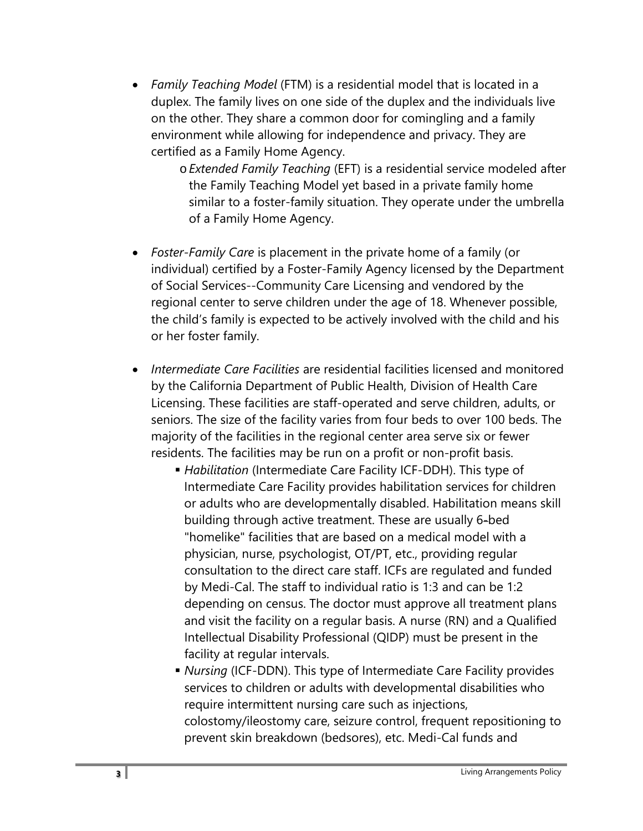- *Family Teaching Model* (FTM) is a residential model that is located in a duplex. The family lives on one side of the duplex and the individuals live on the other. They share a common door for comingling and a family environment while allowing for independence and privacy. They are certified as a Family Home Agency.
	- o*Extended Family Teaching* (EFT) is a residential service modeled after the Family Teaching Model yet based in a private family home similar to a foster-family situation. They operate under the umbrella of a Family Home Agency.
- *Foster-Family Care* is placement in the private home of a family (or individual) certified by a Foster-Family Agency licensed by the Department of Social Services--Community Care Licensing and vendored by the regional center to serve children under the age of 18. Whenever possible, the child's family is expected to be actively involved with the child and his or her foster family.
- *Intermediate Care Facilities* are residential facilities licensed and monitored by the California Department of Public Health, Division of Health Care Licensing. These facilities are staff-operated and serve children, adults, or seniors. The size of the facility varies from four beds to over 100 beds. The majority of the facilities in the regional center area serve six or fewer residents. The facilities may be run on a profit or non-profit basis.
	- *Habilitation* (Intermediate Care Facility ICF-DDH). This type of Intermediate Care Facility provides habilitation services for children or adults who are developmentally disabled. Habilitation means skill building through active treatment. These are usually 6-bed "homelike" facilities that are based on a medical model with a physician, nurse, psychologist, OT/PT, etc., providing regular consultation to the direct care staff. ICFs are regulated and funded by Medi-Cal. The staff to individual ratio is 1:3 and can be 1:2 depending on census. The doctor must approve all treatment plans and visit the facility on a regular basis. A nurse (RN) and a Qualified Intellectual Disability Professional (QIDP) must be present in the facility at regular intervals.
	- *Nursing* (ICF-DDN). This type of Intermediate Care Facility provides services to children or adults with developmental disabilities who require intermittent nursing care such as injections, colostomy/ileostomy care, seizure control, frequent repositioning to prevent skin breakdown (bedsores), etc. Medi-Cal funds and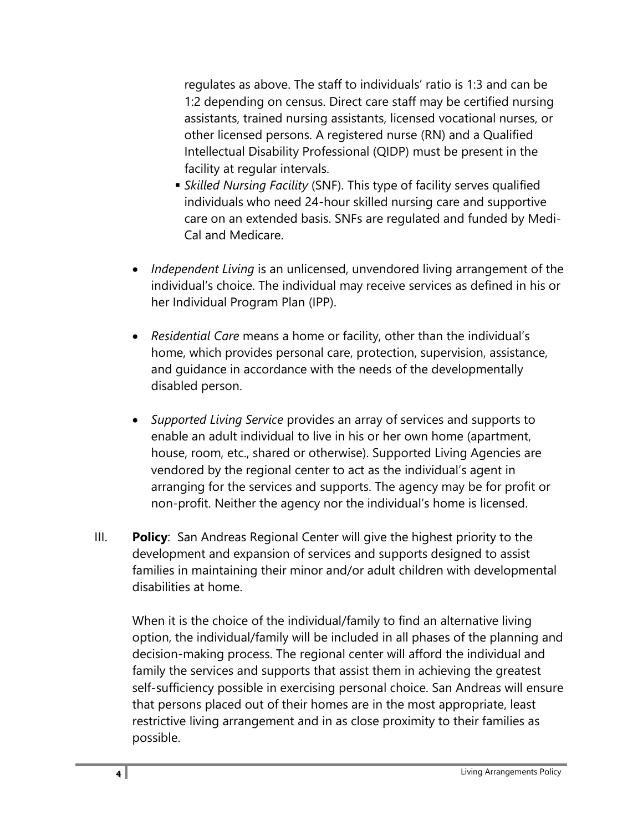regulates as above. The staff to individuals' ratio is 1:3 and can be 1:2 depending on census. Direct care staff may be certified nursing assistants, trained nursing assistants, licensed vocational nurses, or other licensed persons. A registered nurse (RN) and a Qualified Intellectual Disability Professional (QIDP) must be present in the facility at regular intervals.

- *Skilled Nursing Facility* (SNF). This type of facility serves qualified individuals who need 24-hour skilled nursing care and supportive care on an extended basis. SNFs are regulated and funded by Medi-Cal and Medicare.
- *Independent Living* is an unlicensed, unvendored living arrangement of the individual's choice. The individual may receive services as defined in his or her Individual Program Plan (IPP).
- *Residential Care* means a home or facility, other than the individual's home, which provides personal care, protection, supervision, assistance, and guidance in accordance with the needs of the developmentally disabled person.
- *Supported Living Service* provides an array of services and supports to enable an adult individual to live in his or her own home (apartment, house, room, etc., shared or otherwise). Supported Living Agencies are vendored by the regional center to act as the individual's agent in arranging for the services and supports. The agency may be for profit or non-profit. Neither the agency nor the individual's home is licensed.
- III. **Policy**: San Andreas Regional Center will give the highest priority to the development and expansion of services and supports designed to assist families in maintaining their minor and/or adult children with developmental disabilities at home.

When it is the choice of the individual/family to find an alternative living option, the individual/family will be included in all phases of the planning and decision-making process. The regional center will afford the individual and family the services and supports that assist them in achieving the greatest self-sufficiency possible in exercising personal choice. San Andreas will ensure that persons placed out of their homes are in the most appropriate, least restrictive living arrangement and in as close proximity to their families as possible.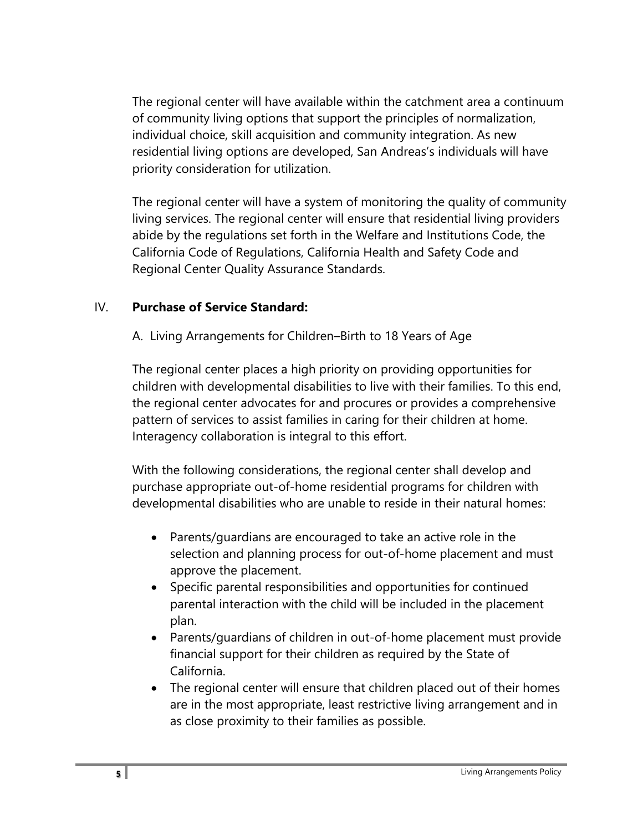The regional center will have available within the catchment area a continuum of community living options that support the principles of normalization, individual choice, skill acquisition and community integration. As new residential living options are developed, San Andreas's individuals will have priority consideration for utilization.

The regional center will have a system of monitoring the quality of community living services. The regional center will ensure that residential living providers abide by the regulations set forth in the Welfare and Institutions Code, the California Code of Regulations, California Health and Safety Code and Regional Center Quality Assurance Standards.

## IV. **Purchase of Service Standard:**

A. Living Arrangements for Children–Birth to 18 Years of Age

The regional center places a high priority on providing opportunities for children with developmental disabilities to live with their families. To this end, the regional center advocates for and procures or provides a comprehensive pattern of services to assist families in caring for their children at home. Interagency collaboration is integral to this effort.

With the following considerations, the regional center shall develop and purchase appropriate out-of-home residential programs for children with developmental disabilities who are unable to reside in their natural homes:

- Parents/guardians are encouraged to take an active role in the selection and planning process for out-of-home placement and must approve the placement.
- Specific parental responsibilities and opportunities for continued parental interaction with the child will be included in the placement plan.
- Parents/guardians of children in out-of-home placement must provide financial support for their children as required by the State of California.
- The regional center will ensure that children placed out of their homes are in the most appropriate, least restrictive living arrangement and in as close proximity to their families as possible.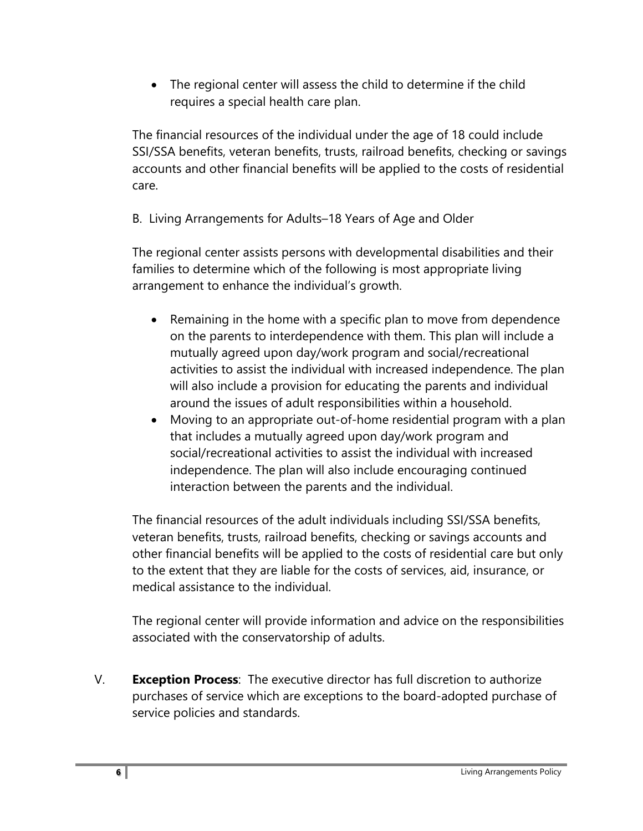• The regional center will assess the child to determine if the child requires a special health care plan.

The financial resources of the individual under the age of 18 could include SSI/SSA benefits, veteran benefits, trusts, railroad benefits, checking or savings accounts and other financial benefits will be applied to the costs of residential care.

B. Living Arrangements for Adults–18 Years of Age and Older

The regional center assists persons with developmental disabilities and their families to determine which of the following is most appropriate living arrangement to enhance the individual's growth.

- Remaining in the home with a specific plan to move from dependence on the parents to interdependence with them. This plan will include a mutually agreed upon day/work program and social/recreational activities to assist the individual with increased independence. The plan will also include a provision for educating the parents and individual around the issues of adult responsibilities within a household.
- Moving to an appropriate out-of-home residential program with a plan that includes a mutually agreed upon day/work program and social/recreational activities to assist the individual with increased independence. The plan will also include encouraging continued interaction between the parents and the individual.

The financial resources of the adult individuals including SSI/SSA benefits, veteran benefits, trusts, railroad benefits, checking or savings accounts and other financial benefits will be applied to the costs of residential care but only to the extent that they are liable for the costs of services, aid, insurance, or medical assistance to the individual.

The regional center will provide information and advice on the responsibilities associated with the conservatorship of adults.

V. **Exception Process**: The executive director has full discretion to authorize purchases of service which are exceptions to the board-adopted purchase of service policies and standards.